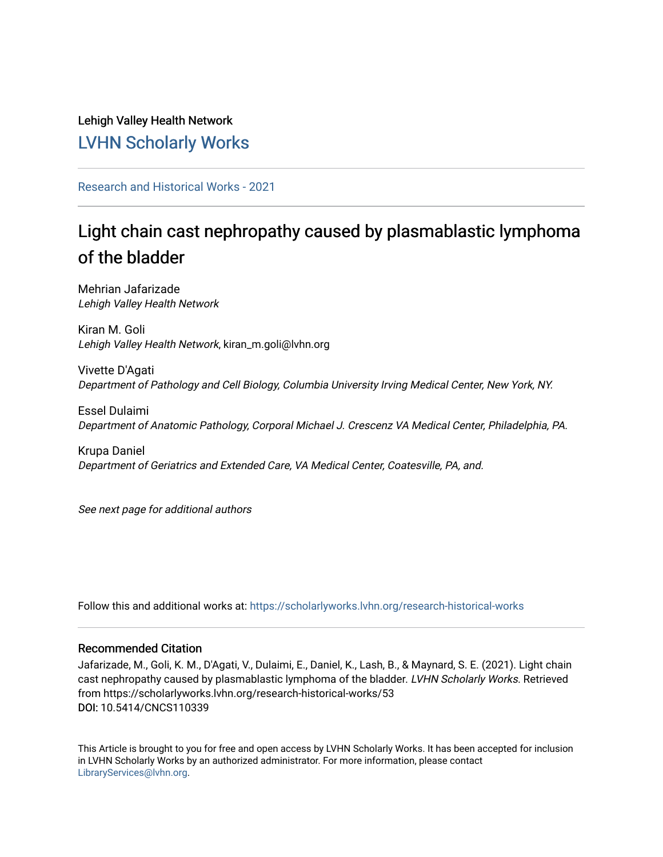Lehigh Valley Health Network [LVHN Scholarly Works](https://scholarlyworks.lvhn.org/)

[Research and Historical Works - 2021](https://scholarlyworks.lvhn.org/research-historical-works) 

# Light chain cast nephropathy caused by plasmablastic lymphoma of the bladder

Mehrian Jafarizade Lehigh Valley Health Network

Kiran M. Goli Lehigh Valley Health Network, kiran\_m.goli@lvhn.org

Vivette D'Agati Department of Pathology and Cell Biology, Columbia University Irving Medical Center, New York, NY.

Essel Dulaimi Department of Anatomic Pathology, Corporal Michael J. Crescenz VA Medical Center, Philadelphia, PA.

Krupa Daniel Department of Geriatrics and Extended Care, VA Medical Center, Coatesville, PA, and.

See next page for additional authors

Follow this and additional works at: [https://scholarlyworks.lvhn.org/research-historical-works](https://scholarlyworks.lvhn.org/research-historical-works?utm_source=scholarlyworks.lvhn.org%2Fresearch-historical-works%2F53&utm_medium=PDF&utm_campaign=PDFCoverPages)

# Recommended Citation

Jafarizade, M., Goli, K. M., D'Agati, V., Dulaimi, E., Daniel, K., Lash, B., & Maynard, S. E. (2021). Light chain cast nephropathy caused by plasmablastic lymphoma of the bladder. LVHN Scholarly Works. Retrieved from https://scholarlyworks.lvhn.org/research-historical-works/53 DOI: 10.5414/CNCS110339

This Article is brought to you for free and open access by LVHN Scholarly Works. It has been accepted for inclusion in LVHN Scholarly Works by an authorized administrator. For more information, please contact [LibraryServices@lvhn.org](mailto:LibraryServices@lvhn.org).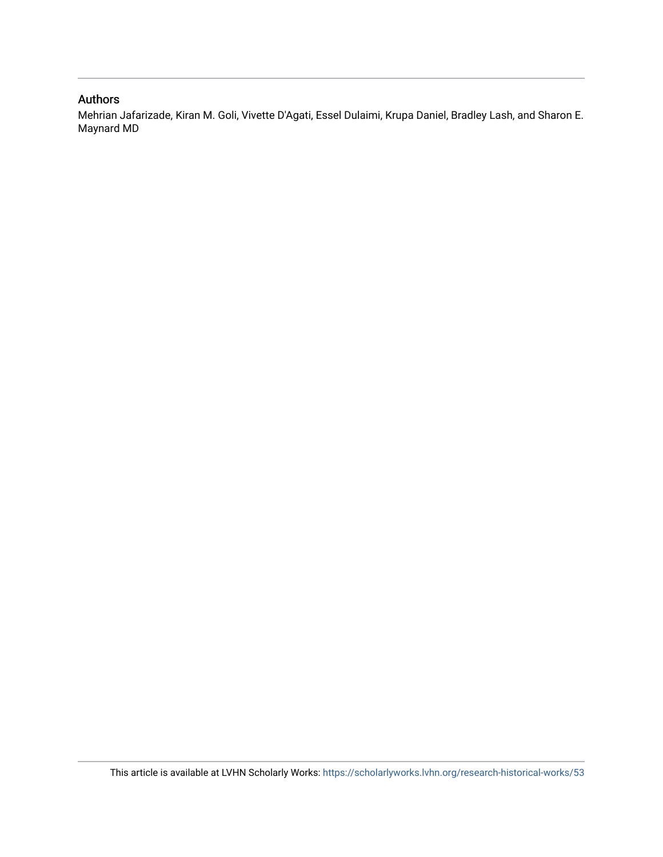# Authors

Mehrian Jafarizade, Kiran M. Goli, Vivette D'Agati, Essel Dulaimi, Krupa Daniel, Bradley Lash, and Sharon E. Maynard MD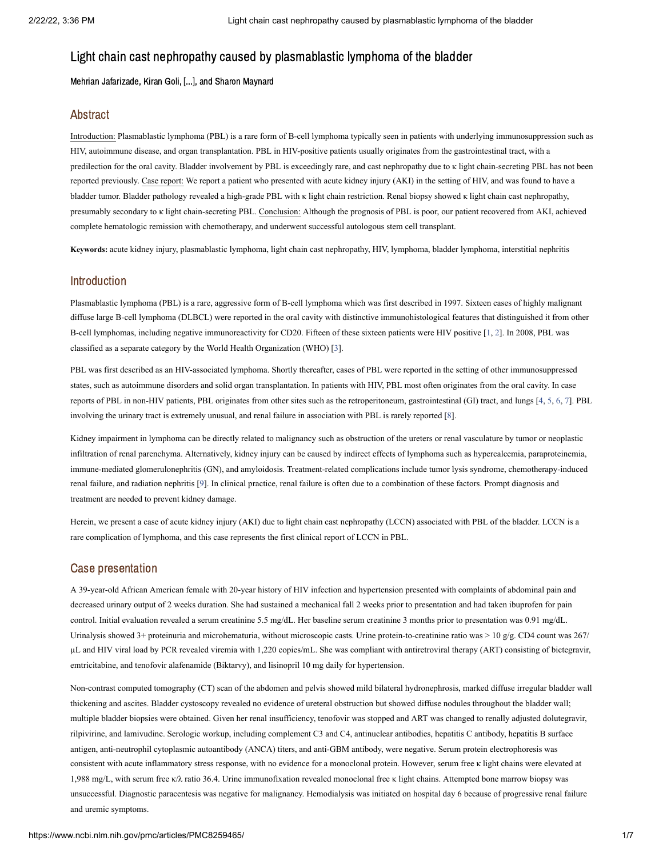Mehrian Jafarizade, Kiran Goli, [...], and Sharon Maynard

#### Abstract

Introduction: Plasmablastic lymphoma (PBL) is a rare form of B-cell lymphoma typically seen in patients with underlying immunosuppression such as HIV, autoimmune disease, and organ transplantation. PBL in HIV-positive patients usually originates from the gastrointestinal tract, with a predilection for the oral cavity. Bladder involvement by PBL is exceedingly rare, and cast nephropathy due to κ light chain-secreting PBL has not been reported previously. Case report: We report a patient who presented with acute kidney injury (AKI) in the setting of HIV, and was found to have a bladder tumor. Bladder pathology revealed a high-grade PBL with κ light chain restriction. Renal biopsy showed κ light chain cast nephropathy, presumably secondary to κ light chain-secreting PBL. Conclusion: Although the prognosis of PBL is poor, our patient recovered from AKI, achieved complete hematologic remission with chemotherapy, and underwent successful autologous stem cell transplant.

**Keywords:** acute kidney injury, plasmablastic lymphoma, light chain cast nephropathy, HIV, lymphoma, bladder lymphoma, interstitial nephritis

#### Introduction

Plasmablastic lymphoma (PBL) is a rare, aggressive form of B-cell lymphoma which was first described in 1997. Sixteen cases of highly malignant diffuse large B-cell lymphoma (DLBCL) were reported in the oral cavity with distinctive immunohistological features that distinguished it from other B-cell lymphomas, including negative immunoreactivity for CD20. Fifteen of these sixteen patients were HIV positive [\[1,](#page-6-0) [2](#page-6-1)]. In 2008, PBL was classified as a separate category by the World Health Organization (WHO) [[3](#page-6-2)].

PBL was first described as an HIV-associated lymphoma. Shortly thereafter, cases of PBL were reported in the setting of other immunosuppressed states, such as autoimmune disorders and solid organ transplantation. In patients with HIV, PBL most often originates from the oral cavity. In case reports of PBL in non-HIV patients, PBL originates from other sites such as the retroperitoneum, gastrointestinal (GI) tract, and lungs [[4](#page-6-3), [5,](#page-6-4) [6,](#page-6-5) [7\]](#page-6-6). PBL involving the urinary tract is extremely unusual, and renal failure in association with PBL is rarely reported [\[8](#page-6-7)].

Kidney impairment in lymphoma can be directly related to malignancy such as obstruction of the ureters or renal vasculature by tumor or neoplastic infiltration of renal parenchyma. Alternatively, kidney injury can be caused by indirect effects of lymphoma such as hypercalcemia, paraproteinemia, immune-mediated glomerulonephritis (GN), and amyloidosis. Treatment-related complications include tumor lysis syndrome, chemotherapy-induced renal failure, and radiation nephritis [\[9\]](#page-6-8). In clinical practice, renal failure is often due to a combination of these factors. Prompt diagnosis and treatment are needed to prevent kidney damage.

Herein, we present a case of acute kidney injury (AKI) due to light chain cast nephropathy (LCCN) associated with PBL of the bladder. LCCN is a rare complication of lymphoma, and this case represents the first clinical report of LCCN in PBL.

#### Case presentation

A 39-year-old African American female with 20-year history of HIV infection and hypertension presented with complaints of abdominal pain and decreased urinary output of 2 weeks duration. She had sustained a mechanical fall 2 weeks prior to presentation and had taken ibuprofen for pain control. Initial evaluation revealed a serum creatinine 5.5 mg/dL. Her baseline serum creatinine 3 months prior to presentation was 0.91 mg/dL. Urinalysis showed 3+ proteinuria and microhematuria, without microscopic casts. Urine protein-to-creatinine ratio was > 10 g/g. CD4 count was 267/ µL and HIV viral load by PCR revealed viremia with 1,220 copies/mL. She was compliant with antiretroviral therapy (ART) consisting of bictegravir, emtricitabine, and tenofovir alafenamide (Biktarvy), and lisinopril 10 mg daily for hypertension.

Non-contrast computed tomography (CT) scan of the abdomen and pelvis showed mild bilateral hydronephrosis, marked diffuse irregular bladder wall thickening and ascites. Bladder cystoscopy revealed no evidence of ureteral obstruction but showed diffuse nodules throughout the bladder wall; multiple bladder biopsies were obtained. Given her renal insufficiency, tenofovir was stopped and ART was changed to renally adjusted dolutegravir, rilpivirine, and lamivudine. Serologic workup, including complement C3 and C4, antinuclear antibodies, hepatitis C antibody, hepatitis B surface antigen, anti-neutrophil cytoplasmic autoantibody (ANCA) titers, and anti-GBM antibody, were negative. Serum protein electrophoresis was consistent with acute inflammatory stress response, with no evidence for a monoclonal protein. However, serum free κ light chains were elevated at 1,988 mg/L, with serum free κ/λ ratio 36.4. Urine immunofixation revealed monoclonal free κ light chains. Attempted bone marrow biopsy was unsuccessful. Diagnostic paracentesis was negative for malignancy. Hemodialysis was initiated on hospital day 6 because of progressive renal failure and uremic symptoms.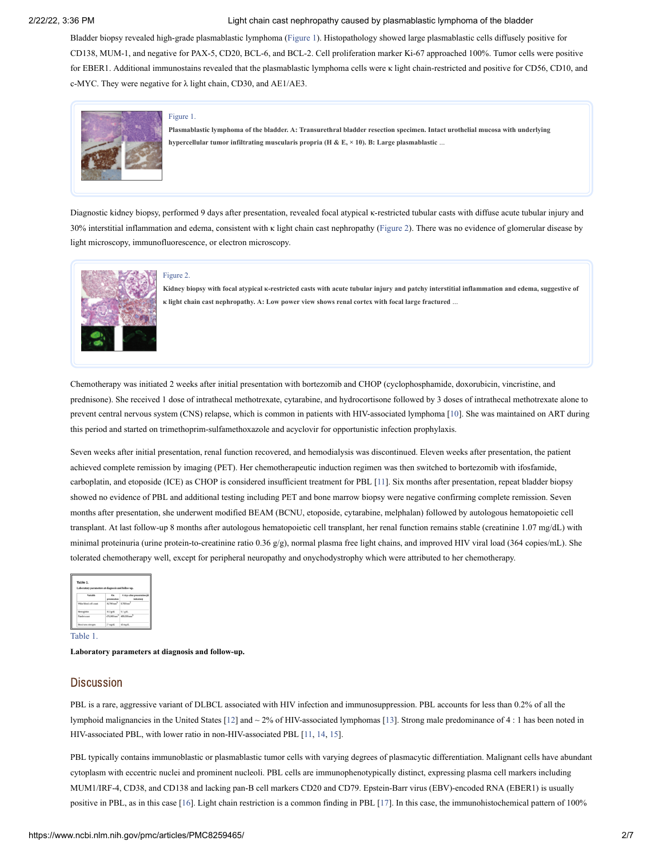Bladder biopsy revealed high-grade plasmablastic lymphoma ([Figure](https://www.ncbi.nlm.nih.gov/pmc/articles/PMC8259465/figure/Figure1/?report=objectonly) 1). Histopathology showed large plasmablastic cells diffusely positive for CD138, MUM-1, and negative for PAX-5, CD20, BCL-6, and BCL-2. Cell proliferation marker Ki-67 approached 100%. Tumor cells were positive for EBER1. Additional immunostains revealed that the plasmablastic lymphoma cells were κ light chain-restricted and positive for CD56, CD10, and c-MYC. They were negative for λ light chain, CD30, and AE1/AE3.



#### [Figure](https://www.ncbi.nlm.nih.gov/pmc/articles/PMC8259465/figure/Figure1/?report=objectonly) 1.

Plasmablastic lymphoma of the bladder. A: Transurethral bladder resection specimen. Intact urothelial mucosa with underlying **hypercellular tumor infiltrating muscularis propria (H & E, × 10). B: Large plasmablastic** ...

Diagnostic kidney biopsy, performed 9 days after presentation, revealed focal atypical κ-restricted tubular casts with diffuse acute tubular injury and 30% interstitial inflammation and edema, consistent with κ light chain cast nephropathy ([Figure](https://www.ncbi.nlm.nih.gov/pmc/articles/PMC8259465/figure/Figure2/?report=objectonly) 2). There was no evidence of glomerular disease by light microscopy, immunofluorescence, or electron microscopy.



#### [Figure](https://www.ncbi.nlm.nih.gov/pmc/articles/PMC8259465/figure/Figure2/?report=objectonly) 2.

Kidney biopsy with focal atypical K-restricted casts with acute tubular injury and patchy interstitial inflammation and edema, suggestive of **κ light chain cast nephropathy. A: Low power view shows renal cortex with focal large fractured** ...

Chemotherapy was initiated 2 weeks after initial presentation with bortezomib and CHOP (cyclophosphamide, doxorubicin, vincristine, and prednisone). She received 1 dose of intrathecal methotrexate, cytarabine, and hydrocortisone followed by 3 doses of intrathecal methotrexate alone to prevent central nervous system (CNS) relapse, which is common in patients with HIV-associated lymphoma [[10\]](#page-6-9). She was maintained on ART during this period and started on trimethoprim-sulfamethoxazole and acyclovir for opportunistic infection prophylaxis.

Seven weeks after initial presentation, renal function recovered, and hemodialysis was discontinued. Eleven weeks after presentation, the patient achieved complete remission by imaging (PET). Her chemotherapeutic induction regimen was then switched to bortezomib with ifosfamide, carboplatin, and etoposide (ICE) as CHOP is considered insufficient treatment for PBL [\[11](#page-6-10)]. Six months after presentation, repeat bladder biopsy showed no evidence of PBL and additional testing including PET and bone marrow biopsy were negative confirming complete remission. Seven months after presentation, she underwent modified BEAM (BCNU, etoposide, cytarabine, melphalan) followed by autologous hematopoietic cell transplant. At last follow-up 8 months after autologous hematopoietic cell transplant, her renal function remains stable (creatinine 1.07 mg/dL) with minimal proteinuria (urine protein-to-creatinine ratio 0.36 g/g), normal plasma free light chains, and improved HIV viral load (364 copies/mL). She tolerated chemotherapy well, except for peripheral neuropathy and onychodystrophy which were attributed to her [chemotherapy](https://www.ncbi.nlm.nih.gov/pmc/articles/PMC8259465/table/Table1/?report=objectonly).

| Laboratory parameters at diamosis and follow-up. |                            |                                            |
|--------------------------------------------------|----------------------------|--------------------------------------------|
| Variable                                         | On.<br>presentation        | 6 days after presentation (s<br>Indelandor |
| White blood cell count                           | $10.700 \, \text{mm}^{-3}$ | 8.700 mm <sup>3</sup>                      |
| Hemoglobin                                       | 10.2 o/dL                  | $9.1$ a/dL                                 |
| Platelet count                                   | channel announce           |                                            |
| Blood was alreaged                               | 27 mg/dl.                  | $42$ mg/dL                                 |

[Table](https://www.ncbi.nlm.nih.gov/pmc/articles/PMC8259465/table/Table1/?report=objectonly) 1.

**Laboratory parameters at diagnosis and follow-up.**

#### **Discussion**

PBL is a rare, aggressive variant of DLBCL associated with HIV infection and immunosuppression. PBL accounts for less than 0.2% of all the lymphoid malignancies in the United States [\[12](#page-6-11)] and ~ 2% of HIV-associated lymphomas [\[13](#page-6-12)]. Strong male predominance of 4 : 1 has been noted in HIV-associated PBL, with lower ratio in non-HIV-associated PBL [[11](#page-6-10), [14](#page-6-13), [15](#page-6-14)].

PBL typically contains immunoblastic or plasmablastic tumor cells with varying degrees of plasmacytic differentiation. Malignant cells have abundant cytoplasm with eccentric nuclei and prominent nucleoli. PBL cells are immunophenotypically distinct, expressing plasma cell markers including MUM1/IRF-4, CD38, and CD138 and lacking pan-B cell markers CD20 and CD79. Epstein-Barr virus (EBV)-encoded RNA (EBER1) is usually positive in PBL, as in this case [\[16](#page-6-15)]. Light chain restriction is a common finding in PBL [[17](#page-6-16)]. In this case, the immunohistochemical pattern of 100%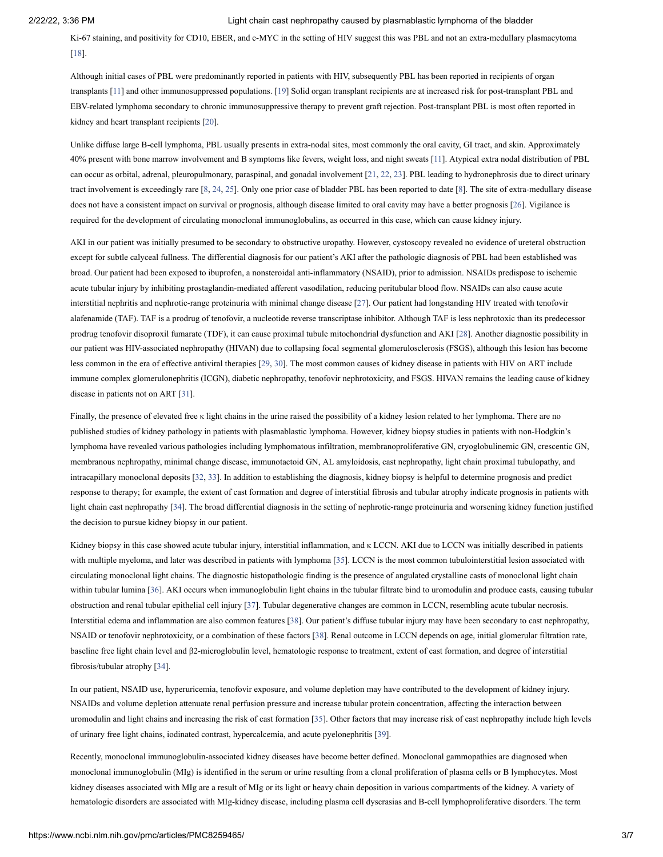Ki-67 staining, and positivity for CD10, EBER, and c-MYC in the setting of HIV suggest this was PBL and not an extra-medullary plasmacytoma [[18\]](#page-6-17).

Although initial cases of PBL were predominantly reported in patients with HIV, subsequently PBL has been reported in recipients of organ transplants [\[11\]](#page-6-10) and other immunosuppressed populations. [\[19](#page-6-18)] Solid organ transplant recipients are at increased risk for post-transplant PBL and EBV-related lymphoma secondary to chronic immunosuppressive therapy to prevent graft rejection. Post-transplant PBL is most often reported in kidney and heart transplant recipients [[20\]](#page-7-0).

Unlike diffuse large B-cell lymphoma, PBL usually presents in extra-nodal sites, most commonly the oral cavity, GI tract, and skin. Approximately 40% present with bone marrow involvement and B symptoms like fevers, weight loss, and night sweats [[11](#page-6-10)]. Atypical extra nodal distribution of PBL can occur as orbital, adrenal, pleuropulmonary, paraspinal, and gonadal involvement [[21,](#page-7-1) [22,](#page-7-2) [23\]](#page-7-3). PBL leading to hydronephrosis due to direct urinary tract involvement is exceedingly rare [\[8](#page-6-7), [24](#page-7-4), [25](#page-7-5)]. Only one prior case of bladder PBL has been reported to date [[8](#page-6-7)]. The site of extra-medullary disease does not have a consistent impact on survival or prognosis, although disease limited to oral cavity may have a better prognosis [[26\]](#page-7-6). Vigilance is required for the development of circulating monoclonal immunoglobulins, as occurred in this case, which can cause kidney injury.

AKI in our patient was initially presumed to be secondary to obstructive uropathy. However, cystoscopy revealed no evidence of ureteral obstruction except for subtle calyceal fullness. The differential diagnosis for our patient's AKI after the pathologic diagnosis of PBL had been established was broad. Our patient had been exposed to ibuprofen, a nonsteroidal anti-inflammatory (NSAID), prior to admission. NSAIDs predispose to ischemic acute tubular injury by inhibiting prostaglandin-mediated afferent vasodilation, reducing peritubular blood flow. NSAIDs can also cause acute interstitial nephritis and nephrotic-range proteinuria with minimal change disease [[27\]](#page-7-7). Our patient had longstanding HIV treated with tenofovir alafenamide (TAF). TAF is a prodrug of tenofovir, a nucleotide reverse transcriptase inhibitor. Although TAF is less nephrotoxic than its predecessor prodrug tenofovir disoproxil fumarate (TDF), it can cause proximal tubule mitochondrial dysfunction and AKI [\[28](#page-7-8)]. Another diagnostic possibility in our patient was HIV-associated nephropathy (HIVAN) due to collapsing focal segmental glomerulosclerosis (FSGS), although this lesion has become less common in the era of effective antiviral therapies [\[29,](#page-7-9) [30\]](#page-7-10). The most common causes of kidney disease in patients with HIV on ART include immune complex glomerulonephritis (ICGN), diabetic nephropathy, tenofovir nephrotoxicity, and FSGS. HIVAN remains the leading cause of kidney disease in patients not on ART [[31](#page-7-11)].

Finally, the presence of elevated free κ light chains in the urine raised the possibility of a kidney lesion related to her lymphoma. There are no published studies of kidney pathology in patients with plasmablastic lymphoma. However, kidney biopsy studies in patients with non-Hodgkin's lymphoma have revealed various pathologies including lymphomatous infiltration, membranoproliferative GN, cryoglobulinemic GN, crescentic GN, membranous nephropathy, minimal change disease, immunotactoid GN, AL amyloidosis, cast nephropathy, light chain proximal tubulopathy, and intracapillary monoclonal deposits [\[32](#page-7-12), [33](#page-7-13)]. In addition to establishing the diagnosis, kidney biopsy is helpful to determine prognosis and predict response to therapy; for example, the extent of cast formation and degree of interstitial fibrosis and tubular atrophy indicate prognosis in patients with light chain cast nephropathy [\[34](#page-7-14)]. The broad differential diagnosis in the setting of nephrotic-range proteinuria and worsening kidney function justified the decision to pursue kidney biopsy in our patient.

Kidney biopsy in this case showed acute tubular injury, interstitial inflammation, and κ LCCN. AKI due to LCCN was initially described in patients with multiple myeloma, and later was described in patients with lymphoma [\[35](#page-7-15)]. LCCN is the most common tubulointerstitial lesion associated with circulating monoclonal light chains. The diagnostic histopathologic finding is the presence of angulated crystalline casts of monoclonal light chain within tubular lumina [[36\]](#page-7-16). AKI occurs when immunoglobulin light chains in the tubular filtrate bind to uromodulin and produce casts, causing tubular obstruction and renal tubular epithelial cell injury [\[37](#page-7-17)]. Tubular degenerative changes are common in LCCN, resembling acute tubular necrosis. Interstitial edema and inflammation are also common features [[38\]](#page-7-18). Our patient's diffuse tubular injury may have been secondary to cast nephropathy, NSAID or tenofovir nephrotoxicity, or a combination of these factors [[38](#page-7-18)]. Renal outcome in LCCN depends on age, initial glomerular filtration rate, baseline free light chain level and β2-microglobulin level, hematologic response to treatment, extent of cast formation, and degree of interstitial fibrosis/tubular atrophy [[34\]](#page-7-14).

In our patient, NSAID use, hyperuricemia, tenofovir exposure, and volume depletion may have contributed to the development of kidney injury. NSAIDs and volume depletion attenuate renal perfusion pressure and increase tubular protein concentration, affecting the interaction between uromodulin and light chains and increasing the risk of cast formation [\[35](#page-7-15)]. Other factors that may increase risk of cast nephropathy include high levels of urinary free light chains, iodinated contrast, hypercalcemia, and acute pyelonephritis [\[39\]](#page-7-19).

Recently, monoclonal immunoglobulin-associated kidney diseases have become better defined. Monoclonal gammopathies are diagnosed when monoclonal immunoglobulin (MIg) is identified in the serum or urine resulting from a clonal proliferation of plasma cells or B lymphocytes. Most kidney diseases associated with MIg are a result of MIg or its light or heavy chain deposition in various compartments of the kidney. A variety of hematologic disorders are associated with MIg-kidney disease, including plasma cell dyscrasias and B-cell lymphoproliferative disorders. The term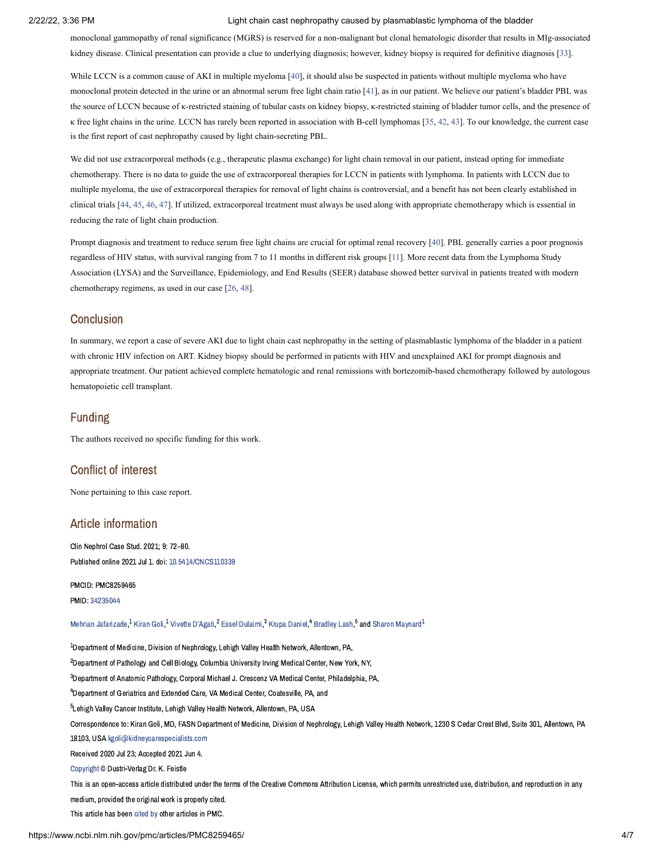monoclonal gammopathy of renal significance (MGRS) is reserved for a non-malignant but clonal hematologic disorder that results in MIg-associated kidney disease. Clinical presentation can provide a clue to underlying diagnosis; however, kidney biopsy is required for definitive diagnosis [[33\]](#page-7-13).

While LCCN is a common cause of AKI in multiple myeloma [\[40](#page-8-0)], it should also be suspected in patients without multiple myeloma who have monoclonal protein detected in the urine or an abnormal serum free light chain ratio [\[41](#page-8-1)], as in our patient. We believe our patient's bladder PBL was the source of LCCN because of κ-restricted staining of tubular casts on kidney biopsy, κ-restricted staining of bladder tumor cells, and the presence of κ free light chains in the urine. LCCN has rarely been reported in association with B-cell lymphomas [[35,](#page-7-15) [42,](#page-8-2) [43\]](#page-8-3). To our knowledge, the current case is the first report of cast nephropathy caused by light chain-secreting PBL.

We did not use extracorporeal methods (e.g., therapeutic plasma exchange) for light chain removal in our patient, instead opting for immediate chemotherapy. There is no data to guide the use of extracorporeal therapies for LCCN in patients with lymphoma. In patients with LCCN due to multiple myeloma, the use of extracorporeal therapies for removal of light chains is controversial, and a benefit has not been clearly established in clinical trials [[44](#page-8-4), [45](#page-8-5), [46](#page-8-6), [47](#page-8-7)]. If utilized, extracorporeal treatment must always be used along with appropriate chemotherapy which is essential in reducing the rate of light chain production.

Prompt diagnosis and treatment to reduce serum free light chains are crucial for optimal renal recovery [[40\]](#page-8-0). PBL generally carries a poor prognosis regardless of HIV status, with survival ranging from 7 to 11 months in different risk groups [[11\]](#page-6-10). More recent data from the Lymphoma Study Association (LYSA) and the Surveillance, Epidemiology, and End Results (SEER) database showed better survival in patients treated with modern chemotherapy regimens, as used in our case [\[26](#page-7-6), [48](#page-8-8)].

#### **Conclusion**

In summary, we report a case of severe AKI due to light chain cast nephropathy in the setting of plasmablastic lymphoma of the bladder in a patient with chronic HIV infection on ART. Kidney biopsy should be performed in patients with HIV and unexplained AKI for prompt diagnosis and appropriate treatment. Our patient achieved complete hematologic and renal remissions with bortezomib-based chemotherapy followed by autologous hematopoietic cell transplant.

### Funding

The authors received no specific funding for this work.

# Conflict of interest

None pertaining to this case report.

# Article information

Clin Nephrol Case Stud. 2021; 9: 72–80. Published online 2021 Jul 1. doi: [10.5414/CNCS110339](https://dx.doi.org/10.5414%2FCNCS110339)

PMCID: PMC8259465

PMID: [34235044](https://www.ncbi.nlm.nih.gov/pubmed/34235044)

Mehrian [Jafarizade,](https://www.ncbi.nlm.nih.gov/pubmed/?term=Jafarizade%20M%5BAuthor%5D&cauthor=true&cauthor_uid=34235044)<sup>1</sup> [Kiran](https://www.ncbi.nlm.nih.gov/pubmed/?term=Goli%20K%5BAuthor%5D&cauthor=true&cauthor_uid=34235044) Goli,<sup>1</sup> Vivette [D'Agati](https://www.ncbi.nlm.nih.gov/pubmed/?term=D%26%23x02019%3BAgati%20V%5BAuthor%5D&cauthor=true&cauthor_uid=34235044),<sup>2</sup> Essel [Dulaimi](https://www.ncbi.nlm.nih.gov/pubmed/?term=Dulaimi%20E%5BAuthor%5D&cauthor=true&cauthor_uid=34235044),<sup>3</sup> Krupa [Daniel](https://www.ncbi.nlm.nih.gov/pubmed/?term=Daniel%20K%5BAuthor%5D&cauthor=true&cauthor_uid=34235044),<sup>4</sup> [Bradley](https://www.ncbi.nlm.nih.gov/pubmed/?term=Lash%20B%5BAuthor%5D&cauthor=true&cauthor_uid=34235044) Lash,<sup>5</sup> and Sharon [Maynard](https://www.ncbi.nlm.nih.gov/pubmed/?term=Maynard%20S%5BAuthor%5D&cauthor=true&cauthor_uid=34235044)<sup>1</sup>

 $^{\rm 1}$ Department of Medicine, Division of Nephrology, Lehigh Valley Health Network, Allentown, PA,  $^2$ Department of Pathology and Cell Biology, Columbia University Irving Medical Center, New York, NY,  $^3$ Department of Anatomic Pathology, Corporal Michael J. Crescenz VA Medical Center, Philadelphia, PA, <sup>4</sup>Department of Geriatrics and Extended Care, VA Medical Center, Coatesville, PA, and <sup>5</sup>Lehigh Valley Cancer Institute, Lehigh Valley Health Network, Allentown, PA, USA Correspondence to: Kiran Goli, MD, FASN Department of Medicine, Division of Nephrology, Lehigh Valley Health Network, 1230 S Cedar Crest Blvd, Suite 301, Allentown, PA 18103, USA [kgoli@kidneycarespecialists.com](mailto:dev@null) Received 2020 Jul 23; Accepted 2021 Jun 4. [Copyright](https://www.ncbi.nlm.nih.gov/pmc/about/copyright/) © Dustri-Verlag Dr. K. Feistle This is an open-access article distributed under the terms of the Creative Commons Attribution License, which permits unrestricted use, distribution, and reproduction in any medium, provided the original work is properly cited. This article has been [cited](https://www.ncbi.nlm.nih.gov/pmc/articles/PMC8259465/citedby/) by other articles in PMC.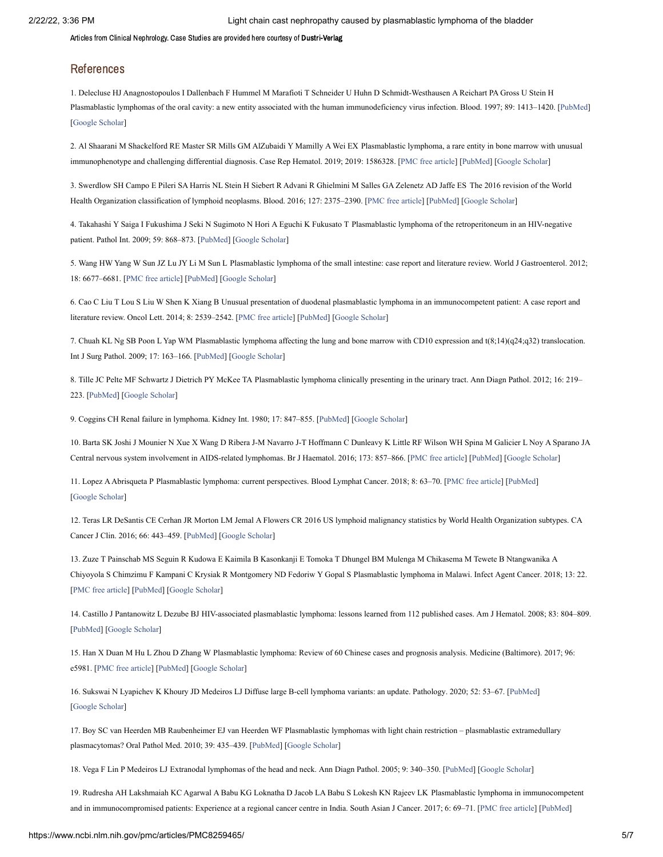Articles from Clinical Nephrology. Case Studies are provided here courtesy of Dustri-Verlag

#### References

<span id="page-6-0"></span>1. Delecluse HJ Anagnostopoulos I Dallenbach F Hummel M Marafioti T Schneider U Huhn D Schmidt-Westhausen A Reichart PA Gross U Stein H Plasmablastic lymphomas of the oral cavity: a new entity associated with the human immunodeficiency virus infection. Blood. 1997; 89: 1413–1420. [\[PubMed](https://www.ncbi.nlm.nih.gov/pubmed/9028965)] [\[Google Scholar](https://scholar.google.com/scholar_lookup?journal=Blood&title=Plasmablastic+lymphomas+of+the+oral+cavity:+a+new+entity+associated+with+the+human+immunodeficiency+virus+infection.&author=HJ+Delecluse&author=I+Anagnostopoulos&author=F+Dallenbach&author=M+Hummel&author=T+Marafioti&volume=89&publication_year=1997&pages=1413-1420&pmid=9028965&)]

<span id="page-6-1"></span>2. Al Shaarani M Shackelford RE Master SR Mills GM AlZubaidi Y Mamilly A Wei EX Plasmablastic lymphoma, a rare entity in bone marrow with unusual immunophenotype and challenging differential diagnosis. Case Rep Hematol. 2019; 2019: 1586328. [\[PMC free article](https://www.ncbi.nlm.nih.gov/pmc/articles/PMC6745100/?report=reader)] [\[PubMed\]](https://www.ncbi.nlm.nih.gov/pubmed/31565447) [[Google Scholar](https://scholar.google.com/scholar_lookup?journal=Case+Rep+Hematol&title=Plasmablastic+lymphoma,+a+rare+entity+in+bone+marrow+with+unusual+immunophenotype+and+challenging+differential+diagnosis.&author=M+Al+Shaarani&author=RE+Shackelford&author=SR+Master&author=GM+Mills&author=Y+AlZubaidi&volume=2019&publication_year=2019&pages=1586328&pmid=31565447&)]

<span id="page-6-2"></span>3. Swerdlow SH Campo E Pileri SA Harris NL Stein H Siebert R Advani R Ghielmini M Salles GA Zelenetz AD Jaffe ES The 2016 revision of the World Health Organization classification of lymphoid neoplasms. Blood. 2016; 127: 2375–2390. [[PMC free article\]](https://www.ncbi.nlm.nih.gov/pmc/articles/PMC4874220/?report=reader) [\[PubMed\]](https://www.ncbi.nlm.nih.gov/pubmed/26980727) [[Google Scholar](https://scholar.google.com/scholar_lookup?journal=Blood&title=The+2016+revision+of+the+World+Health+Organization+classification+of+lymphoid+neoplasms.&author=SH+Swerdlow&author=E+Campo&author=SA+Pileri&author=NL+Harris&author=H+Stein&volume=127&publication_year=2016&pages=2375-2390&pmid=26980727&)]

<span id="page-6-3"></span>4. Takahashi Y Saiga I Fukushima J Seki N Sugimoto N Hori A Eguchi K Fukusato T Plasmablastic lymphoma of the retroperitoneum in an HIV-negative patient. Pathol Int. 2009; 59: 868–873. [\[PubMed](https://www.ncbi.nlm.nih.gov/pubmed/20021612)] [\[Google Scholar](https://scholar.google.com/scholar_lookup?journal=Pathol+Int&title=Plasmablastic+lymphoma+of+the+retroperitoneum+in+an+HIV-negative+patient.&author=Y+Takahashi&author=I+Saiga&author=J+Fukushima&author=N+Seki&author=N+Sugimoto&volume=59&publication_year=2009&pages=868-873&pmid=20021612&)]

<span id="page-6-4"></span>5. Wang HW Yang W Sun JZ Lu JY Li M Sun L Plasmablastic lymphoma of the small intestine: case report and literature review. World J Gastroenterol. 2012; 18: 6677–6681. [[PMC free article](https://www.ncbi.nlm.nih.gov/pmc/articles/PMC3516220/?report=reader)] [\[PubMed](https://www.ncbi.nlm.nih.gov/pubmed/23236245)] [\[Google Scholar](https://scholar.google.com/scholar_lookup?journal=World+J+Gastroenterol&title=Plasmablastic+lymphoma+of+the+small+intestine:+case+report+and+literature+review.&author=HW+Wang&author=W+Yang&author=JZ+Sun&author=JY+Lu&author=M+Li&volume=18&publication_year=2012&pages=6677-6681&pmid=23236245&)]

<span id="page-6-5"></span>6. Cao C Liu T Lou S Liu W Shen K Xiang B Unusual presentation of duodenal plasmablastic lymphoma in an immunocompetent patient: A case report and literature review. Oncol Lett. 2014; 8: 2539–2542. [\[PMC free article](https://www.ncbi.nlm.nih.gov/pmc/articles/PMC4214469/?report=reader)] [\[PubMed\]](https://www.ncbi.nlm.nih.gov/pubmed/25364423) [[Google Scholar](https://scholar.google.com/scholar_lookup?journal=Oncol+Lett&title=Unusual+presentation+of+duodenal+plasmablastic+lymphoma+in+an+immunocompetent+patient:+A+case+report+and+literature+review.&author=C+Cao&author=T+Liu&author=S+Lou&author=W+Liu&author=K+Shen&volume=8&publication_year=2014&pages=2539-2542&pmid=25364423&)]

<span id="page-6-6"></span>7. Chuah KL Ng SB Poon L Yap WM Plasmablastic lymphoma affecting the lung and bone marrow with CD10 expression and t(8;14)(q24;q32) translocation. Int J Surg Pathol. 2009; 17: 163–166. [[PubMed\]](https://www.ncbi.nlm.nih.gov/pubmed/18508845) [\[Google Scholar\]](https://scholar.google.com/scholar_lookup?journal=Int+J+Surg+Pathol&title=Plasmablastic+lymphoma+affecting+the+lung+and+bone+marrow+with+CD10+expression+and+t(8;14)(q24;q32)+translocation.&author=KL+Chuah&author=SB+Ng&author=L+Poon&author=WM+Yap&volume=17&publication_year=2009&pages=163-166&pmid=18508845&)

<span id="page-6-7"></span>8. Tille JC Pelte MF Schwartz J Dietrich PY McKee TA Plasmablastic lymphoma clinically presenting in the urinary tract. Ann Diagn Pathol. 2012; 16: 219– 223. [\[PubMed\]](https://www.ncbi.nlm.nih.gov/pubmed/21531157) [\[Google Scholar\]](https://scholar.google.com/scholar_lookup?journal=Ann+Diagn+Pathol&title=Plasmablastic+lymphoma+clinically+presenting+in+the+urinary+tract.&author=JC+Tille&author=MF+Pelte&author=J+Schwartz&author=PY+Dietrich&author=TA+McKee&volume=16&publication_year=2012&pages=219-223&pmid=21531157&)

<span id="page-6-8"></span>9. Coggins CH Renal failure in lymphoma. Kidney Int. 1980; 17: 847–855. [[PubMed](https://www.ncbi.nlm.nih.gov/pubmed/7412115)] [[Google Scholar](https://scholar.google.com/scholar_lookup?journal=Kidney+Int&title=Renal+failure+in+lymphoma.&author=CH+Coggins&volume=17&publication_year=1980&pages=847-855&pmid=7412115&)]

<span id="page-6-9"></span>10. Barta SK Joshi J Mounier N Xue X Wang D Ribera J-M Navarro J-T Hoffmann C Dunleavy K Little RF Wilson WH Spina M Galicier L Noy A Sparano JA Central nervous system involvement in AIDS-related lymphomas. Br J Haematol. 2016; 173: 857–866. [\[PMC free article](https://www.ncbi.nlm.nih.gov/pmc/articles/PMC4900917/?report=reader)] [[PubMed](https://www.ncbi.nlm.nih.gov/pubmed/27062389)] [\[Google Scholar](https://scholar.google.com/scholar_lookup?journal=Br+J+Haematol&title=Central+nervous+system+involvement+in+AIDS-related+lymphomas.&author=SK+Barta&author=J+Joshi&author=N+Mounier&author=X+Xue&author=D+Wang&volume=173&publication_year=2016&pages=857-866&pmid=27062389&)]

<span id="page-6-10"></span>11. Lopez AAbrisqueta P Plasmablastic lymphoma: current perspectives. Blood Lymphat Cancer. 2018; 8: 63–70. [[PMC free article](https://www.ncbi.nlm.nih.gov/pmc/articles/PMC6467349/?report=reader)] [\[PubMed](https://www.ncbi.nlm.nih.gov/pubmed/31360094)] [\[Google Scholar](https://scholar.google.com/scholar_lookup?journal=Blood+Lymphat+Cancer&title=Plasmablastic+lymphoma:+current+perspectives.&author=A+Lopez&author=P+Abrisqueta&volume=8&publication_year=2018&pages=63-70&pmid=31360094&)]

<span id="page-6-11"></span>12. Teras LR DeSantis CE Cerhan JR Morton LM Jemal A Flowers CR 2016 US lymphoid malignancy statistics by World Health Organization subtypes. CA Cancer J Clin. 2016; 66: 443–459. [\[PubMed\]](https://www.ncbi.nlm.nih.gov/pubmed/27618563) [\[Google Scholar\]](https://scholar.google.com/scholar_lookup?journal=CA+Cancer+J+Clin&title=2016+US+lymphoid+malignancy+statistics+by+World+Health+Organization+subtypes.&author=LR+Teras&author=CE+DeSantis&author=JR+Cerhan&author=LM+Morton&author=A+Jemal&volume=66&publication_year=2016&pages=443-459&pmid=27618563&)

<span id="page-6-12"></span>13. Zuze T Painschab MS Seguin R Kudowa E Kaimila B Kasonkanji E Tomoka T Dhungel BM Mulenga M Chikasema M Tewete B Ntangwanika A Chiyoyola S Chimzimu F Kampani C Krysiak R Montgomery ND Fedoriw Y Gopal S Plasmablastic lymphoma in Malawi. Infect Agent Cancer. 2018; 13: 22. [\[PMC free article\]](https://www.ncbi.nlm.nih.gov/pmc/articles/PMC6022505/?report=reader) [\[PubMed\]](https://www.ncbi.nlm.nih.gov/pubmed/29988350) [\[Google Scholar\]](https://scholar.google.com/scholar_lookup?journal=Infect+Agent+Cancer&title=Plasmablastic+lymphoma+in+Malawi.&author=T+Zuze&author=MS+Painschab&author=R+Seguin&author=E+Kudowa&author=B+Kaimila&volume=13&publication_year=2018&pages=22&pmid=29988350&)

<span id="page-6-13"></span>14. Castillo J Pantanowitz L Dezube BJ HIV-associated plasmablastic lymphoma: lessons learned from 112 published cases. Am J Hematol. 2008; 83: 804–809. [\[PubMed\]](https://www.ncbi.nlm.nih.gov/pubmed/18756521) [[Google Scholar\]](https://scholar.google.com/scholar_lookup?journal=Am+J+Hematol&title=HIV-associated+plasmablastic+lymphoma:+lessons+learned+from+112+published+cases.&author=J+Castillo&author=L+Pantanowitz&author=BJ+Dezube&volume=83&publication_year=2008&pages=804-809&pmid=18756521&)

<span id="page-6-14"></span>15. Han X Duan M Hu L Zhou D Zhang W Plasmablastic lymphoma: Review of 60 Chinese cases and prognosis analysis. Medicine (Baltimore). 2017; 96: e5981. [[PMC free article](https://www.ncbi.nlm.nih.gov/pmc/articles/PMC5340428/?report=reader)] [[PubMed\]](https://www.ncbi.nlm.nih.gov/pubmed/28248855) [[Google Scholar\]](https://scholar.google.com/scholar_lookup?journal=Medicine+(Baltimore)&title=Plasmablastic+lymphoma:+Review+of+60+Chinese+cases+and+prognosis+analysis.&author=X+Han&author=M+Duan&author=L+Hu&author=D+Zhou&author=W+Zhang&volume=96&publication_year=2017&pages=e5981&pmid=28248855&)

<span id="page-6-15"></span>16. Sukswai N Lyapichev K Khoury JD Medeiros LJ Diffuse large B-cell lymphoma variants: an update. Pathology. 2020; 52: 53–67. [[PubMed](https://www.ncbi.nlm.nih.gov/pubmed/31735345)] [\[Google Scholar](https://scholar.google.com/scholar_lookup?journal=Pathology&title=Diffuse+large+B-cell+lymphoma+variants:+an+update.&author=N+Sukswai&author=K+Lyapichev&author=JD+Khoury&author=LJ+Medeiros&volume=52&publication_year=2020&pages=53-67&pmid=31735345&)]

<span id="page-6-16"></span>17. Boy SC van Heerden MB Raubenheimer EJ van Heerden WF Plasmablastic lymphomas with light chain restriction – plasmablastic extramedullary plasmacytomas? Oral Pathol Med. 2010; 39: 435–439. [\[PubMed](https://www.ncbi.nlm.nih.gov/pubmed/20537055)] [\[Google Scholar](https://scholar.google.com/scholar_lookup?journal=Oral+Pathol+Med&title=Plasmablastic+lymphomas+with+light+chain+restriction+%E2%80%93+plasmablastic+extramedullary+plasmacytomas?&author=SC+Boy&author=MB+van+Heerden&author=EJ+Raubenheimer&author=WF+van+Heerden&volume=39&publication_year=2010&pages=435-439&)]

<span id="page-6-17"></span>18. Vega F Lin P Medeiros LJ Extranodal lymphomas of the head and neck. Ann Diagn Pathol. 2005; 9: 340–350. [[PubMed\]](https://www.ncbi.nlm.nih.gov/pubmed/16308165) [[Google Scholar\]](https://scholar.google.com/scholar_lookup?journal=Ann+Diagn+Pathol&title=Extranodal+lymphomas+of+the+head+and+neck.&author=F+Vega&author=P+Lin&author=LJ+Medeiros&volume=9&publication_year=2005&pages=340-350&pmid=16308165&)

<span id="page-6-18"></span>19. Rudresha AH Lakshmaiah KC Agarwal A Babu KG Loknatha D Jacob LA Babu S Lokesh KN Rajeev LK Plasmablastic lymphoma in immunocompetent and in immunocompromised patients: Experience at a regional cancer centre in India. South Asian J Cancer. 2017; 6: 69–71. [[PMC free article](https://www.ncbi.nlm.nih.gov/pmc/articles/PMC5506813/?report=reader)] [[PubMed\]](https://www.ncbi.nlm.nih.gov/pubmed/28702410)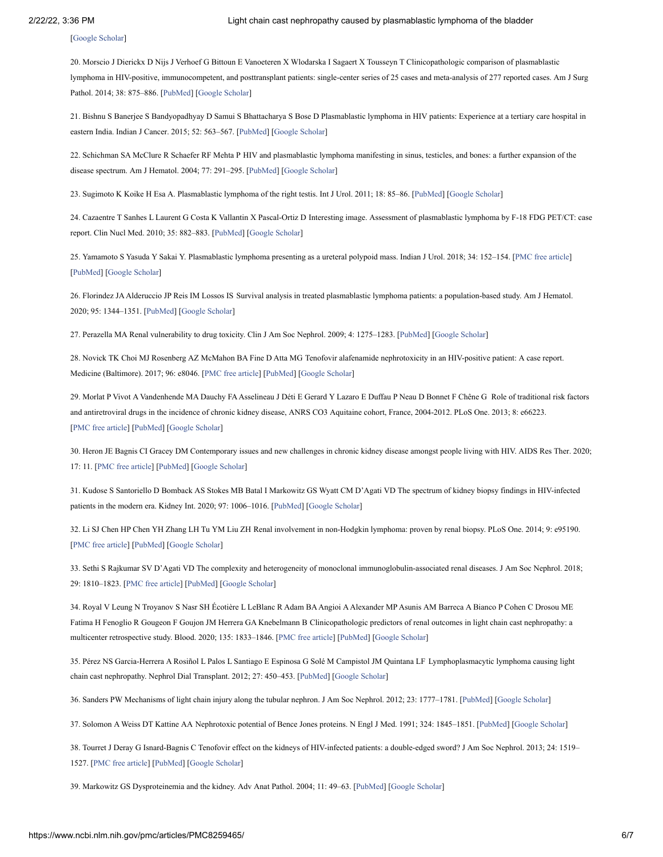[\[Google Scholar](https://scholar.google.com/scholar_lookup?journal=South+Asian+J+Cancer&title=Plasmablastic+lymphoma+in+immunocompetent+and+in+immunocompromised+patients:+Experience+at+a+regional+cancer+centre+in+India.&author=AH+Rudresha&author=KC+Lakshmaiah&author=A+Agarwal&author=KG+Babu&author=D+Loknatha&volume=6&publication_year=2017&pages=69-71&pmid=28702410&)]

<span id="page-7-0"></span>20. Morscio J Dierickx D Nijs J Verhoef G Bittoun E Vanoeteren X Wlodarska I Sagaert X Tousseyn T Clinicopathologic comparison of plasmablastic lymphoma in HIV-positive, immunocompetent, and posttransplant patients: single-center series of 25 cases and meta-analysis of 277 reported cases. Am J Surg Pathol. 2014; 38: 875–886. [\[PubMed](https://www.ncbi.nlm.nih.gov/pubmed/24832164)] [\[Google Scholar\]](https://scholar.google.com/scholar_lookup?journal=Am+J+Surg+Pathol&title=Clinicopathologic+comparison+of+plasmablastic+lymphoma+in+HIV-positive,+immunocompetent,+and+posttransplant+patients:+single-center+series+of+25+cases+and+meta-analysis+of+277+reported+cases.&author=J+Morscio&author=D+Dierickx&author=J+Nijs&author=G+Verhoef&author=E+Bittoun&volume=38&publication_year=2014&pages=875-886&pmid=24832164&)

<span id="page-7-1"></span>21. Bishnu S Banerjee S Bandyopadhyay D Samui S Bhattacharya S Bose D Plasmablastic lymphoma in HIV patients: Experience at a tertiary care hospital in eastern India. Indian J Cancer. 2015; 52: 563–567. [[PubMed](https://www.ncbi.nlm.nih.gov/pubmed/26960478)] [\[Google Scholar](https://scholar.google.com/scholar_lookup?journal=Indian+J+Cancer&title=Plasmablastic+lymphoma+in+HIV+patients:+Experience+at+a+tertiary+care+hospital+in+eastern+India.&author=S+Bishnu&author=S+Banerjee&author=D+Bandyopadhyay&author=S+Samui&author=S+Bhattacharya&volume=52&publication_year=2015&pages=563-567&pmid=26960478&)]

<span id="page-7-2"></span>22. Schichman SA McClure R Schaefer RF Mehta P HIV and plasmablastic lymphoma manifesting in sinus, testicles, and bones: a further expansion of the disease spectrum. Am J Hematol. 2004; 77: 291–295. [\[PubMed\]](https://www.ncbi.nlm.nih.gov/pubmed/15495247) [\[Google Scholar\]](https://scholar.google.com/scholar_lookup?journal=Am+J+Hematol&title=HIV+and+plasmablastic+lymphoma+manifesting+in+sinus,+testicles,+and+bones:+a+further+expansion+of+the+disease+spectrum.&author=SA+Schichman&author=R+McClure&author=RF+Schaefer&author=P+Mehta&volume=77&publication_year=2004&pages=291-295&pmid=15495247&)

<span id="page-7-3"></span>23. Sugimoto K Koike H Esa A. Plasmablastic lymphoma of the right testis. Int J Urol. 2011; 18: 85–86. [\[PubMed](https://www.ncbi.nlm.nih.gov/pubmed/21073544)] [\[Google Scholar](https://scholar.google.com/scholar_lookup?journal=Int+J+Urol&title=Plasmablastic+lymphoma+of+the+right+testis.&author=K+Sugimoto&author=H+Koike&author=A.+Esa&volume=18&publication_year=2011&pages=85-86&pmid=21073544&)]

<span id="page-7-4"></span>24. Cazaentre T Sanhes L Laurent G Costa K Vallantin X Pascal-Ortiz D Interesting image. Assessment of plasmablastic lymphoma by F-18 FDG PET/CT: case report. Clin Nucl Med. 2010; 35: 882–883. [\[PubMed\]](https://www.ncbi.nlm.nih.gov/pubmed/20940549) [[Google Scholar](https://scholar.google.com/scholar_lookup?journal=Clin+Nucl+Med&title=Interesting+image.+Assessment+of+plasmablastic+lymphoma+by+F-18+FDG+PET/CT:+case+report.&author=T+Cazaentre&author=L+Sanhes&author=G+Laurent&author=K+Costa&author=X+Vallantin&volume=35&publication_year=2010&pages=882-883&pmid=20940549&)]

<span id="page-7-5"></span>25. Yamamoto S Yasuda Y Sakai Y. Plasmablastic lymphoma presenting as a ureteral polypoid mass. Indian J Urol. 2018; 34: 152–154. [[PMC free article\]](https://www.ncbi.nlm.nih.gov/pmc/articles/PMC5894290/?report=reader) [\[PubMed\]](https://www.ncbi.nlm.nih.gov/pubmed/29692511) [[Google Scholar\]](https://scholar.google.com/scholar_lookup?journal=Indian+J+Urol&title=Plasmablastic+lymphoma+presenting+as+a+ureteral+polypoid+mass.&author=S+Yamamoto&author=Y+Yasuda&author=Y.+Sakai&volume=34&publication_year=2018&pages=152-154&pmid=29692511&)

<span id="page-7-6"></span>26. Florindez JAAlderuccio JP Reis IM Lossos IS Survival analysis in treated plasmablastic lymphoma patients: a population-based study. Am J Hematol. 2020; 95: 1344–1351. [[PubMed\]](https://www.ncbi.nlm.nih.gov/pubmed/32777103) [[Google Scholar](https://scholar.google.com/scholar_lookup?journal=Am+J+Hematol&title=Survival+analysis+in+treated+plasmablastic+lymphoma+patients:+a+population-based+study.&author=JA+Florindez&author=JP+Alderuccio&author=IM+Reis&author=IS+Lossos&volume=95&publication_year=2020&pages=1344-1351&pmid=32777103&)]

<span id="page-7-7"></span>27. Perazella MA Renal vulnerability to drug toxicity. Clin J Am Soc Nephrol. 2009; 4: 1275–1283. [[PubMed\]](https://www.ncbi.nlm.nih.gov/pubmed/19520747) [[Google Scholar](https://scholar.google.com/scholar_lookup?journal=Clin+J+Am+Soc+Nephrol&title=Renal+vulnerability+to+drug+toxicity.&author=MA+Perazella&volume=4&publication_year=2009&pages=1275-1283&pmid=19520747&)]

<span id="page-7-8"></span>28. Novick TK Choi MJ Rosenberg AZ McMahon BA Fine D Atta MG Tenofovir alafenamide nephrotoxicity in an HIV-positive patient: A case report. Medicine (Baltimore). 2017; 96: e8046. [[PMC free article\]](https://www.ncbi.nlm.nih.gov/pmc/articles/PMC6393094/?report=reader) [[PubMed](https://www.ncbi.nlm.nih.gov/pubmed/28885375)] [\[Google Scholar\]](https://scholar.google.com/scholar_lookup?journal=Medicine+(Baltimore)&title=Tenofovir+alafenamide+nephrotoxicity+in+an+HIV-positive+patient:+A+case+report.&author=TK+Novick&author=MJ+Choi&author=AZ+Rosenberg&author=BA+McMahon&author=D+Fine&volume=96&publication_year=2017&pages=e8046&pmid=28885375&)

<span id="page-7-9"></span>29. Morlat P Vivot A Vandenhende MA Dauchy FAAsselineau J Déti E Gerard Y Lazaro E Duffau P Neau D Bonnet F Chêne G Role of traditional risk factors and antiretroviral drugs in the incidence of chronic kidney disease, ANRS CO3 Aquitaine cohort, France, 2004-2012. PLoS One. 2013; 8: e66223. [\[PMC free article\]](https://www.ncbi.nlm.nih.gov/pmc/articles/PMC3680439/?report=reader) [\[PubMed\]](https://www.ncbi.nlm.nih.gov/pubmed/23776637) [\[Google Scholar\]](https://scholar.google.com/scholar_lookup?journal=PLoS+One&title=Role+of+traditional+risk+factors+and+antiretroviral+drugs+in+the+incidence+of+chronic+kidney+disease,+ANRS+CO3+Aquitaine+cohort,+France,+2004-2012.&author=P+Morlat&author=A+Vivot&author=MA+Vandenhende&author=FA+Dauchy&author=J+Asselineau&volume=8&publication_year=2013&pages=e66223&pmid=23776637&)

<span id="page-7-10"></span>30. Heron JE Bagnis CI Gracey DM Contemporary issues and new challenges in chronic kidney disease amongst people living with HIV. AIDS Res Ther. 2020; 17: 11. [[PMC free article\]](https://www.ncbi.nlm.nih.gov/pmc/articles/PMC7075008/?report=reader) [[PubMed](https://www.ncbi.nlm.nih.gov/pubmed/32178687)] [\[Google Scholar\]](https://scholar.google.com/scholar_lookup?journal=AIDS+Res+Ther&title=Contemporary+issues+and+new+challenges+in+chronic+kidney+disease+amongst+people+living+with+HIV.&author=JE+Heron&author=CI+Bagnis&author=DM+Gracey&volume=17&publication_year=2020&pages=11&pmid=32178687&)

<span id="page-7-11"></span>31. Kudose S Santoriello D Bomback AS Stokes MB Batal I Markowitz GS Wyatt CM D'Agati VD The spectrum of kidney biopsy findings in HIV-infected patients in the modern era. Kidney Int. 2020; 97: 1006–1016. [\[PubMed\]](https://www.ncbi.nlm.nih.gov/pubmed/32278618) [[Google Scholar](https://scholar.google.com/scholar_lookup?journal=Kidney+Int&title=The+spectrum+of+kidney+biopsy+findings+in+HIV-infected+patients+in+the+modern+era.&author=S+Kudose&author=D+Santoriello&author=AS+Bomback&author=MB+Stokes&author=I+Batal&volume=97&publication_year=2020&pages=1006-1016&pmid=32278618&)]

<span id="page-7-12"></span>32. Li SJ Chen HP Chen YH Zhang LH Tu YM Liu ZH Renal involvement in non-Hodgkin lymphoma: proven by renal biopsy. PLoS One. 2014; 9: e95190. [\[PMC free article\]](https://www.ncbi.nlm.nih.gov/pmc/articles/PMC3986362/?report=reader) [\[PubMed\]](https://www.ncbi.nlm.nih.gov/pubmed/24733356) [\[Google Scholar\]](https://scholar.google.com/scholar_lookup?journal=PLoS+One&title=Renal+involvement+in+non-Hodgkin+lymphoma:+proven+by+renal+biopsy.&author=SJ+Li&author=HP+Chen&author=YH+Chen&author=LH+Zhang&author=YM+Tu&volume=9&publication_year=2014&pages=e95190&pmid=24733356&)

<span id="page-7-13"></span>33. Sethi S Rajkumar SV D'Agati VD The complexity and heterogeneity of monoclonal immunoglobulin-associated renal diseases. J Am Soc Nephrol. 2018; 29: 1810–1823. [[PMC free article](https://www.ncbi.nlm.nih.gov/pmc/articles/PMC6050917/?report=reader)] [\[PubMed](https://www.ncbi.nlm.nih.gov/pubmed/29703839)] [\[Google Scholar](https://scholar.google.com/scholar_lookup?journal=J+Am+Soc+Nephrol&title=The+complexity+and+heterogeneity+of+monoclonal+immunoglobulin-associated+renal+diseases.&author=S+Sethi&author=SV+Rajkumar&author=VD+D%E2%80%99Agati&volume=29&publication_year=2018&pages=1810-1823&pmid=29703839&)]

<span id="page-7-14"></span>34. Royal V Leung N Troyanov S Nasr SH Écotière L LeBlanc R Adam BAAngioi AAlexander MP Asunis AM Barreca A Bianco P Cohen C Drosou ME Fatima H Fenoglio R Gougeon F Goujon JM Herrera GA Knebelmann B Clinicopathologic predictors of renal outcomes in light chain cast nephropathy: a multicenter retrospective study. Blood. 2020; 135: 1833–1846. [\[PMC free article](https://www.ncbi.nlm.nih.gov/pmc/articles/PMC7243151/?report=reader)] [\[PubMed\]](https://www.ncbi.nlm.nih.gov/pubmed/32160635) [\[Google Scholar\]](https://scholar.google.com/scholar_lookup?journal=Blood&title=Clinicopathologic+predictors+of+renal+outcomes+in+light+chain+cast+nephropathy:+a+multicenter+retrospective+study.&author=V+Royal&author=N+Leung&author=S+Troyanov&author=SH+Nasr&author=L+%C3%89coti%C3%A8re&volume=135&publication_year=2020&pages=1833-1846&pmid=32160635&)

<span id="page-7-15"></span>35. Pérez NS Garcia-Herrera A Rosiñol L Palos L Santiago E Espinosa G Solé M Campistol JM Quintana LF Lymphoplasmacytic lymphoma causing light chain cast nephropathy. Nephrol Dial Transplant. 2012; 27: 450–453. [\[PubMed\]](https://www.ncbi.nlm.nih.gov/pubmed/22241794) [[Google Scholar](https://scholar.google.com/scholar_lookup?journal=Nephrol+Dial+Transplant&title=Lymphoplasmacytic+lymphoma+causing+light+chain+cast+nephropathy.&author=NS+P%C3%A9rez&author=A+Garcia-Herrera&author=L+Rosi%C3%B1ol&author=L+Palos&author=E+Santiago&volume=27&publication_year=2012&pages=450-453&pmid=22241794&)]

<span id="page-7-16"></span>36. Sanders PW Mechanisms of light chain injury along the tubular nephron. J Am Soc Nephrol. 2012; 23: 1777–1781. [\[PubMed\]](https://www.ncbi.nlm.nih.gov/pubmed/22997259) [[Google Scholar](https://scholar.google.com/scholar_lookup?journal=J+Am+Soc+Nephrol&title=Mechanisms+of+light+chain+injury+along+the+tubular+nephron.&author=PW+Sanders&volume=23&publication_year=2012&pages=1777-1781&pmid=22997259&)]

<span id="page-7-17"></span>37. Solomon A Weiss DT Kattine AA Nephrotoxic potential of Bence Jones proteins. N Engl J Med. 1991; 324: 1845–1851. [[PubMed](https://www.ncbi.nlm.nih.gov/pubmed/1904132)] [\[Google Scholar](https://scholar.google.com/scholar_lookup?journal=N+Engl+J+Med&title=Nephrotoxic+potential+of+Bence+Jones+proteins.&author=A+Solomon&author=DT+Weiss&author=AA+Kattine&volume=324&publication_year=1991&pages=1845-1851&pmid=1904132&)]

<span id="page-7-18"></span>38. Tourret J Deray G Isnard-Bagnis C Tenofovir effect on the kidneys of HIV-infected patients: a double-edged sword? J Am Soc Nephrol. 2013; 24: 1519– 1527. [\[PMC free article](https://www.ncbi.nlm.nih.gov/pmc/articles/PMC3785270/?report=reader)] [\[PubMed](https://www.ncbi.nlm.nih.gov/pubmed/24052632)] [\[Google Scholar](https://scholar.google.com/scholar_lookup?journal=J+Am+Soc+Nephrol&title=Tenofovir+effect+on+the+kidneys+of+HIV-infected+patients:+a+double-edged+sword?&author=J+Tourret&author=G+Deray&author=C+Isnard-Bagnis&volume=24&publication_year=2013&pages=1519-1527&pmid=24052632&)]

<span id="page-7-19"></span>39. Markowitz GS Dysproteinemia and the kidney. Adv Anat Pathol. 2004; 11: 49–63. [[PubMed](https://www.ncbi.nlm.nih.gov/pubmed/14676640)] [\[Google Scholar](https://scholar.google.com/scholar_lookup?journal=Adv+Anat+Pathol&title=Dysproteinemia+and+the+kidney.&author=GS+Markowitz&volume=11&publication_year=2004&pages=49-63&pmid=14676640&)]